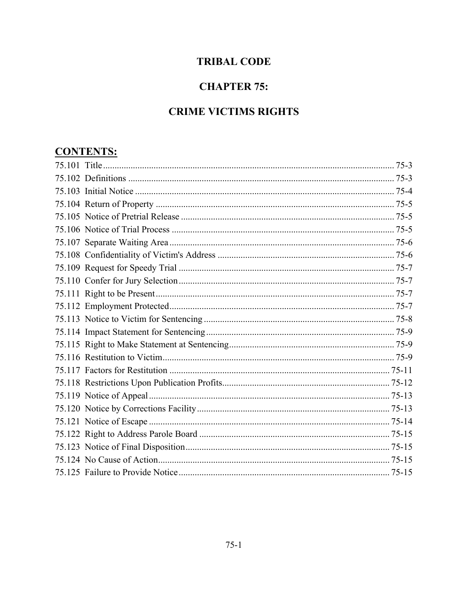# **TRIBAL CODE**

# **CHAPTER 75:**

# **CRIME VICTIMS RIGHTS**

# **CONTENTS:**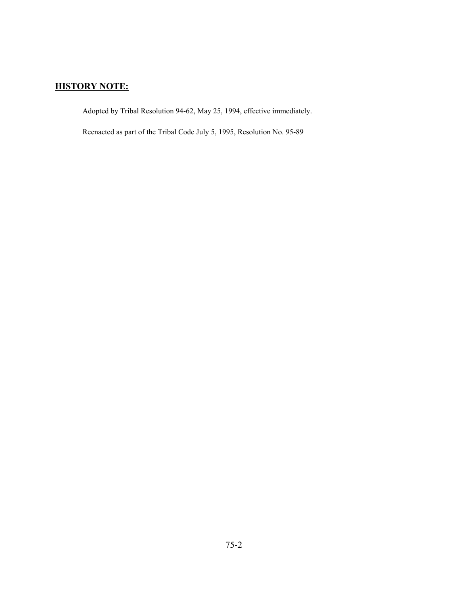# **HISTORY NOTE:**

Adopted by Tribal Resolution 94-62, May 25, 1994, effective immediately.

Reenacted as part of the Tribal Code July 5, 1995, Resolution No. 95-89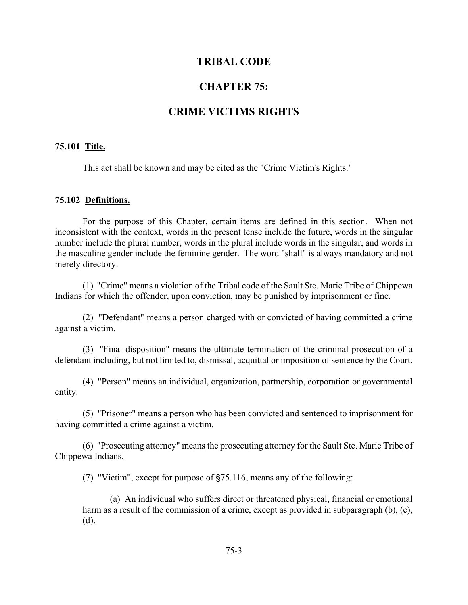# **TRIBAL CODE**

# **CHAPTER 75:**

# **CRIME VICTIMS RIGHTS**

### **75.101 Title.**

This act shall be known and may be cited as the "Crime Victim's Rights."

#### **75.102 Definitions.**

For the purpose of this Chapter, certain items are defined in this section. When not inconsistent with the context, words in the present tense include the future, words in the singular number include the plural number, words in the plural include words in the singular, and words in the masculine gender include the feminine gender. The word "shall" is always mandatory and not merely directory.

(1) "Crime" means a violation of the Tribal code of the Sault Ste. Marie Tribe of Chippewa Indians for which the offender, upon conviction, may be punished by imprisonment or fine.

(2) "Defendant" means a person charged with or convicted of having committed a crime against a victim.

(3) "Final disposition" means the ultimate termination of the criminal prosecution of a defendant including, but not limited to, dismissal, acquittal or imposition of sentence by the Court.

(4) "Person" means an individual, organization, partnership, corporation or governmental entity.

(5) "Prisoner" means a person who has been convicted and sentenced to imprisonment for having committed a crime against a victim.

(6) "Prosecuting attorney" means the prosecuting attorney for the Sault Ste. Marie Tribe of Chippewa Indians.

(7) "Victim", except for purpose of  $\S75.116$ , means any of the following:

(a) An individual who suffers direct or threatened physical, financial or emotional harm as a result of the commission of a crime, except as provided in subparagraph (b), (c), (d).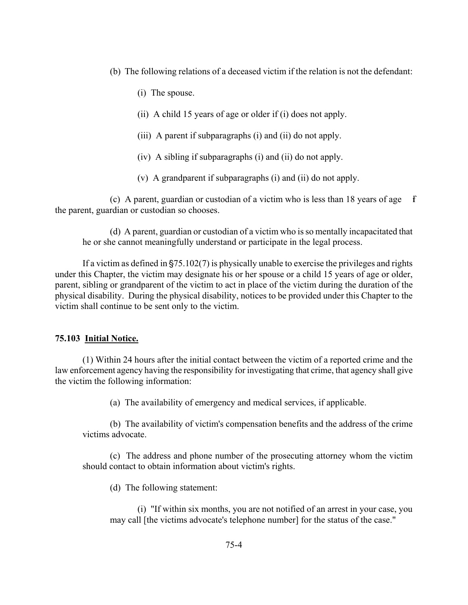- (b) The following relations of a deceased victim if the relation is not the defendant:
	- (i) The spouse.
	- (ii) A child 15 years of age or older if (i) does not apply.
	- (iii) A parent if subparagraphs (i) and (ii) do not apply.
	- (iv) A sibling if subparagraphs (i) and (ii) do not apply.
	- (v) A grandparent if subparagraphs (i) and (ii) do not apply.

(c) A parent, guardian or custodian of a victim who is less than 18 years of age  $\bar{f}$ the parent, guardian or custodian so chooses.

(d) A parent, guardian or custodian of a victim who is so mentally incapacitated that he or she cannot meaningfully understand or participate in the legal process.

If a victim as defined in  $\S75.102(7)$  is physically unable to exercise the privileges and rights under this Chapter, the victim may designate his or her spouse or a child 15 years of age or older, parent, sibling or grandparent of the victim to act in place of the victim during the duration of the physical disability. During the physical disability, notices to be provided under this Chapter to the victim shall continue to be sent only to the victim.

### **75.103 Initial Notice.**

(1) Within 24 hours after the initial contact between the victim of a reported crime and the law enforcement agency having the responsibility for investigating that crime, that agency shall give the victim the following information:

(a) The availability of emergency and medical services, if applicable.

(b) The availability of victim's compensation benefits and the address of the crime victims advocate.

(c) The address and phone number of the prosecuting attorney whom the victim should contact to obtain information about victim's rights.

(d) The following statement:

(i) "If within six months, you are not notified of an arrest in your case, you may call [the victims advocate's telephone number] for the status of the case."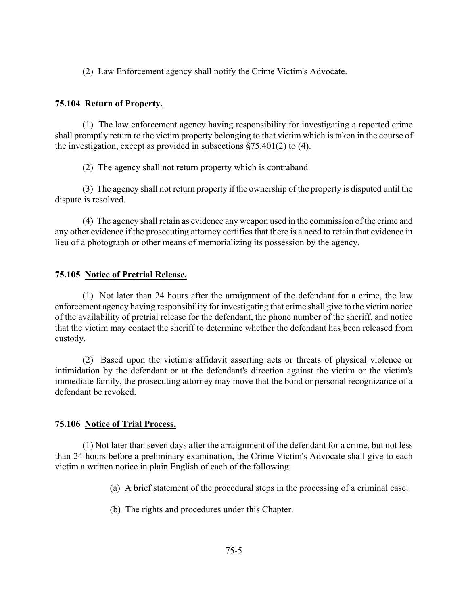(2) Law Enforcement agency shall notify the Crime Victim's Advocate.

# **75.104 Return of Property.**

(1) The law enforcement agency having responsibility for investigating a reported crime shall promptly return to the victim property belonging to that victim which is taken in the course of the investigation, except as provided in subsections  $\S 75.401(2)$  to (4).

(2) The agency shall not return property which is contraband.

(3) The agency shall not return property if the ownership of the property is disputed until the dispute is resolved.

(4) The agency shall retain as evidence any weapon used in the commission of the crime and any other evidence if the prosecuting attorney certifies that there is a need to retain that evidence in lieu of a photograph or other means of memorializing its possession by the agency.

## **75.105 Notice of Pretrial Release.**

(1) Not later than 24 hours after the arraignment of the defendant for a crime, the law enforcement agency having responsibility for investigating that crime shall give to the victim notice of the availability of pretrial release for the defendant, the phone number of the sheriff, and notice that the victim may contact the sheriff to determine whether the defendant has been released from custody.

(2) Based upon the victim's affidavit asserting acts or threats of physical violence or intimidation by the defendant or at the defendant's direction against the victim or the victim's immediate family, the prosecuting attorney may move that the bond or personal recognizance of a defendant be revoked.

### **75.106 Notice of Trial Process.**

(1) Not later than seven days after the arraignment of the defendant for a crime, but not less than 24 hours before a preliminary examination, the Crime Victim's Advocate shall give to each victim a written notice in plain English of each of the following:

(a) A brief statement of the procedural steps in the processing of a criminal case.

(b) The rights and procedures under this Chapter.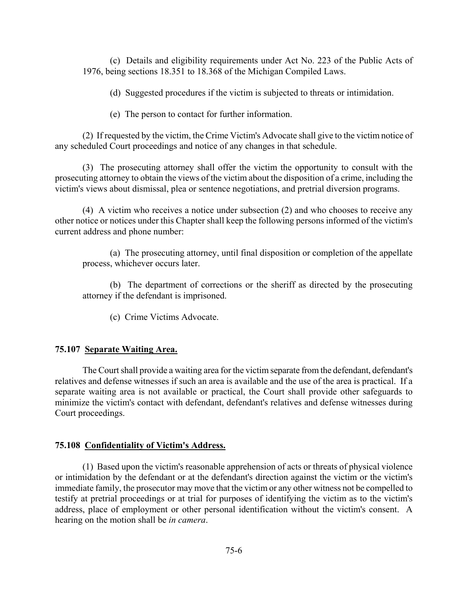(c) Details and eligibility requirements under Act No. 223 of the Public Acts of 1976, being sections 18.351 to 18.368 of the Michigan Compiled Laws.

(d) Suggested procedures if the victim is subjected to threats or intimidation.

(e) The person to contact for further information.

(2) If requested by the victim, the Crime Victim's Advocate shall give to the victim notice of any scheduled Court proceedings and notice of any changes in that schedule.

(3) The prosecuting attorney shall offer the victim the opportunity to consult with the prosecuting attorney to obtain the views of the victim about the disposition of a crime, including the victim's views about dismissal, plea or sentence negotiations, and pretrial diversion programs.

(4) A victim who receives a notice under subsection (2) and who chooses to receive any other notice or notices under this Chapter shall keep the following persons informed of the victim's current address and phone number:

(a) The prosecuting attorney, until final disposition or completion of the appellate process, whichever occurs later.

(b) The department of corrections or the sheriff as directed by the prosecuting attorney if the defendant is imprisoned.

(c) Crime Victims Advocate.

#### **75.107 Separate Waiting Area.**

The Court shall provide a waiting area for the victim separate from the defendant, defendant's relatives and defense witnesses if such an area is available and the use of the area is practical. If a separate waiting area is not available or practical, the Court shall provide other safeguards to minimize the victim's contact with defendant, defendant's relatives and defense witnesses during Court proceedings.

### **75.108 Confidentiality of Victim's Address.**

(1) Based upon the victim's reasonable apprehension of acts or threats of physical violence or intimidation by the defendant or at the defendant's direction against the victim or the victim's immediate family, the prosecutor may move that the victim or any other witness not be compelled to testify at pretrial proceedings or at trial for purposes of identifying the victim as to the victim's address, place of employment or other personal identification without the victim's consent. A hearing on the motion shall be *in camera*.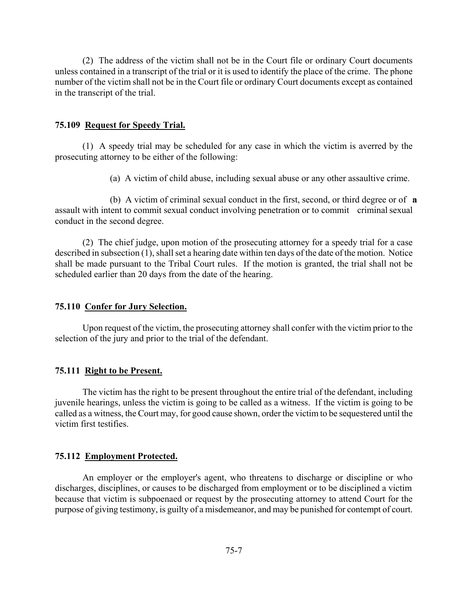(2) The address of the victim shall not be in the Court file or ordinary Court documents unless contained in a transcript of the trial or it is used to identify the place of the crime. The phone number of the victim shall not be in the Court file or ordinary Court documents except as contained in the transcript of the trial.

#### **75.109 Request for Speedy Trial.**

(1) A speedy trial may be scheduled for any case in which the victim is averred by the prosecuting attorney to be either of the following:

(a) A victim of child abuse, including sexual abuse or any other assaultive crime.

(b) A victim of criminal sexual conduct in the first, second, or third degree or of  $\bf{a}$ assault with intent to commit sexual conduct involving penetration or to commit criminal sexual conduct in the second degree.

(2) The chief judge, upon motion of the prosecuting attorney for a speedy trial for a case described in subsection (1), shall set a hearing date within ten days of the date of the motion. Notice shall be made pursuant to the Tribal Court rules. If the motion is granted, the trial shall not be scheduled earlier than 20 days from the date of the hearing.

#### **75.110 Confer for Jury Selection.**

Upon request of the victim, the prosecuting attorney shall confer with the victim prior to the selection of the jury and prior to the trial of the defendant.

#### **75.111 Right to be Present.**

The victim has the right to be present throughout the entire trial of the defendant, including juvenile hearings, unless the victim is going to be called as a witness. If the victim is going to be called as a witness, the Court may, for good cause shown, order the victim to be sequestered until the victim first testifies.

#### **75.112 Employment Protected.**

An employer or the employer's agent, who threatens to discharge or discipline or who discharges, disciplines, or causes to be discharged from employment or to be disciplined a victim because that victim is subpoenaed or request by the prosecuting attorney to attend Court for the purpose of giving testimony, is guilty of a misdemeanor, and may be punished for contempt of court.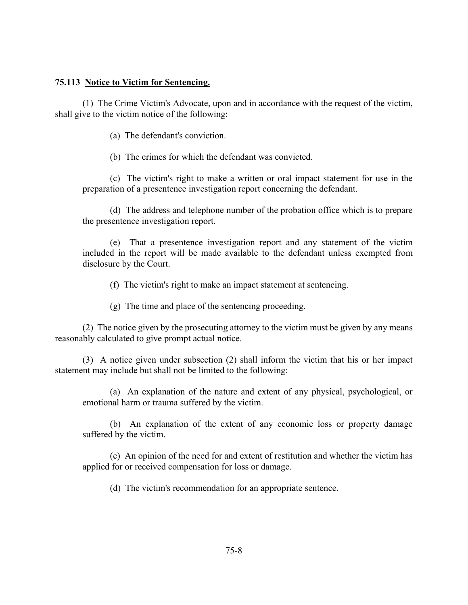### **75.113 Notice to Victim for Sentencing.**

(1) The Crime Victim's Advocate, upon and in accordance with the request of the victim, shall give to the victim notice of the following:

(a) The defendant's conviction.

(b) The crimes for which the defendant was convicted.

(c) The victim's right to make a written or oral impact statement for use in the preparation of a presentence investigation report concerning the defendant.

(d) The address and telephone number of the probation office which is to prepare the presentence investigation report.

(e) That a presentence investigation report and any statement of the victim included in the report will be made available to the defendant unless exempted from disclosure by the Court.

(f) The victim's right to make an impact statement at sentencing.

(g) The time and place of the sentencing proceeding.

(2) The notice given by the prosecuting attorney to the victim must be given by any means reasonably calculated to give prompt actual notice.

(3) A notice given under subsection (2) shall inform the victim that his or her impact statement may include but shall not be limited to the following:

(a) An explanation of the nature and extent of any physical, psychological, or emotional harm or trauma suffered by the victim.

(b) An explanation of the extent of any economic loss or property damage suffered by the victim.

(c) An opinion of the need for and extent of restitution and whether the victim has applied for or received compensation for loss or damage.

(d) The victim's recommendation for an appropriate sentence.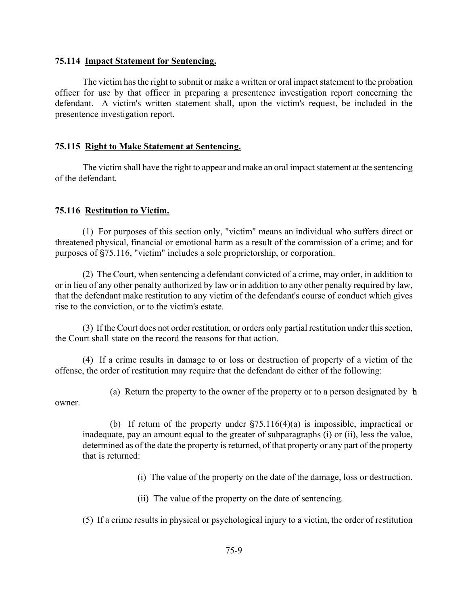#### **75.114 Impact Statement for Sentencing.**

The victim has the right to submit or make a written or oral impact statement to the probation officer for use by that officer in preparing a presentence investigation report concerning the defendant. A victim's written statement shall, upon the victim's request, be included in the presentence investigation report.

### **75.115 Right to Make Statement at Sentencing.**

The victim shall have the right to appear and make an oral impact statement at the sentencing of the defendant.

## **75.116 Restitution to Victim.**

(1) For purposes of this section only, "victim" means an individual who suffers direct or threatened physical, financial or emotional harm as a result of the commission of a crime; and for purposes of  $$75.116$ , "victim" includes a sole proprietorship, or corporation.

(2) The Court, when sentencing a defendant convicted of a crime, may order, in addition to or in lieu of any other penalty authorized by law or in addition to any other penalty required by law, that the defendant make restitution to any victim of the defendant's course of conduct which gives rise to the conviction, or to the victim's estate.

(3) If the Court does not order restitution, or orders only partial restitution under this section, the Court shall state on the record the reasons for that action.

(4) If a crime results in damage to or loss or destruction of property of a victim of the offense, the order of restitution may require that the defendant do either of the following:

(a) Return the property to the owner of the property or to a person designated by  $\mathbf b$ owner.

(b) If return of the property under  $\frac{575.116(4)}{a}$  is impossible, impractical or inadequate, pay an amount equal to the greater of subparagraphs (i) or (ii), less the value, determined as of the date the property is returned, of that property or any part of the property that is returned:

(i) The value of the property on the date of the damage, loss or destruction.

(ii) The value of the property on the date of sentencing.

(5) If a crime results in physical or psychological injury to a victim, the order of restitution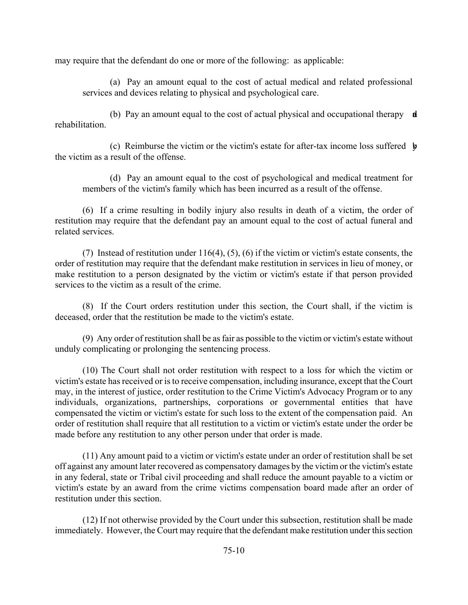may require that the defendant do one or more of the following: as applicable:

(a) Pay an amount equal to the cost of actual medical and related professional services and devices relating to physical and psychological care.

(b) Pay an amount equal to the cost of actual physical and occupational therapy  $\mathbf{d}$ rehabilitation.

(c) Reimburse the victim or the victim's estate for after-tax income loss suffered  $\phi$ the victim as a result of the offense.

(d) Pay an amount equal to the cost of psychological and medical treatment for members of the victim's family which has been incurred as a result of the offense.

(6) If a crime resulting in bodily injury also results in death of a victim, the order of restitution may require that the defendant pay an amount equal to the cost of actual funeral and related services.

(7) Instead of restitution under 116(4), (5), (6) if the victim or victim's estate consents, the order of restitution may require that the defendant make restitution in services in lieu of money, or make restitution to a person designated by the victim or victim's estate if that person provided services to the victim as a result of the crime.

(8) If the Court orders restitution under this section, the Court shall, if the victim is deceased, order that the restitution be made to the victim's estate.

(9) Any order of restitution shall be as fair as possible to the victim or victim's estate without unduly complicating or prolonging the sentencing process.

(10) The Court shall not order restitution with respect to a loss for which the victim or victim's estate has received or is to receive compensation, including insurance, except that the Court may, in the interest of justice, order restitution to the Crime Victim's Advocacy Program or to any individuals, organizations, partnerships, corporations or governmental entities that have compensated the victim or victim's estate for such loss to the extent of the compensation paid. An order of restitution shall require that all restitution to a victim or victim's estate under the order be made before any restitution to any other person under that order is made.

(11) Any amount paid to a victim or victim's estate under an order of restitution shall be set off against any amount later recovered as compensatory damages by the victim or the victim's estate in any federal, state or Tribal civil proceeding and shall reduce the amount payable to a victim or victim's estate by an award from the crime victims compensation board made after an order of restitution under this section.

(12) If not otherwise provided by the Court under this subsection, restitution shall be made immediately. However, the Court may require that the defendant make restitution under this section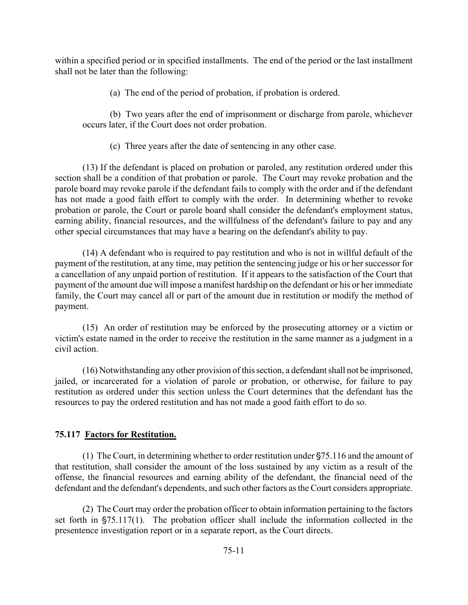within a specified period or in specified installments. The end of the period or the last installment shall not be later than the following:

(a) The end of the period of probation, if probation is ordered.

(b) Two years after the end of imprisonment or discharge from parole, whichever occurs later, if the Court does not order probation.

(c) Three years after the date of sentencing in any other case.

(13) If the defendant is placed on probation or paroled, any restitution ordered under this section shall be a condition of that probation or parole. The Court may revoke probation and the parole board may revoke parole if the defendant fails to comply with the order and if the defendant has not made a good faith effort to comply with the order. In determining whether to revoke probation or parole, the Court or parole board shall consider the defendant's employment status, earning ability, financial resources, and the willfulness of the defendant's failure to pay and any other special circumstances that may have a bearing on the defendant's ability to pay.

(14) A defendant who is required to pay restitution and who is not in willful default of the payment of the restitution, at any time, may petition the sentencing judge or his or her successor for a cancellation of any unpaid portion of restitution. If it appears to the satisfaction of the Court that payment of the amount due will impose a manifest hardship on the defendant or his or her immediate family, the Court may cancel all or part of the amount due in restitution or modify the method of payment.

(15) An order of restitution may be enforced by the prosecuting attorney or a victim or victim's estate named in the order to receive the restitution in the same manner as a judgment in a civil action.

(16) Notwithstanding any other provision of this section, a defendant shall not be imprisoned, jailed, or incarcerated for a violation of parole or probation, or otherwise, for failure to pay restitution as ordered under this section unless the Court determines that the defendant has the resources to pay the ordered restitution and has not made a good faith effort to do so.

# **75.117 Factors for Restitution.**

(1) The Court, in determining whether to order restitution under  $\S75.116$  and the amount of that restitution, shall consider the amount of the loss sustained by any victim as a result of the offense, the financial resources and earning ability of the defendant, the financial need of the defendant and the defendant's dependents, and such other factors as the Court considers appropriate.

(2) The Court may order the probation officer to obtain information pertaining to the factors set forth in  $\S 75.117(1)$ . The probation officer shall include the information collected in the presentence investigation report or in a separate report, as the Court directs.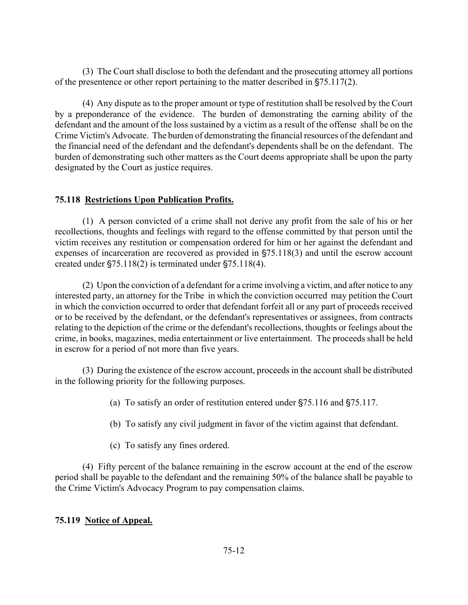(3) The Court shall disclose to both the defendant and the prosecuting attorney all portions of the presentence or other report pertaining to the matter described in  $$75.117(2)$ .

(4) Any dispute as to the proper amount or type of restitution shall be resolved by the Court by a preponderance of the evidence. The burden of demonstrating the earning ability of the defendant and the amount of the loss sustained by a victim as a result of the offense shall be on the Crime Victim's Advocate. The burden of demonstrating the financial resources of the defendant and the financial need of the defendant and the defendant's dependents shall be on the defendant. The burden of demonstrating such other matters as the Court deems appropriate shall be upon the party designated by the Court as justice requires.

# **75.118 Restrictions Upon Publication Profits.**

(1) A person convicted of a crime shall not derive any profit from the sale of his or her recollections, thoughts and feelings with regard to the offense committed by that person until the victim receives any restitution or compensation ordered for him or her against the defendant and expenses of incarceration are recovered as provided in  $\S$ 75.118(3) and until the escrow account created under  $\S 75.118(2)$  is terminated under  $\S 75.118(4)$ .

(2) Upon the conviction of a defendant for a crime involving a victim, and after notice to any interested party, an attorney for the Tribe in which the conviction occurred may petition the Court in which the conviction occurred to order that defendant forfeit all or any part of proceeds received or to be received by the defendant, or the defendant's representatives or assignees, from contracts relating to the depiction of the crime or the defendant's recollections, thoughts or feelings about the crime, in books, magazines, media entertainment or live entertainment. The proceeds shall be held in escrow for a period of not more than five years.

(3) During the existence of the escrow account, proceeds in the account shall be distributed in the following priority for the following purposes.

- (a) To satisfy an order of restitution entered under  $\S$ 75.116 and  $\S$ 75.117.
- (b) To satisfy any civil judgment in favor of the victim against that defendant.
- (c) To satisfy any fines ordered.

(4) Fifty percent of the balance remaining in the escrow account at the end of the escrow period shall be payable to the defendant and the remaining 50% of the balance shall be payable to the Crime Victim's Advocacy Program to pay compensation claims.

# **75.119 Notice of Appeal.**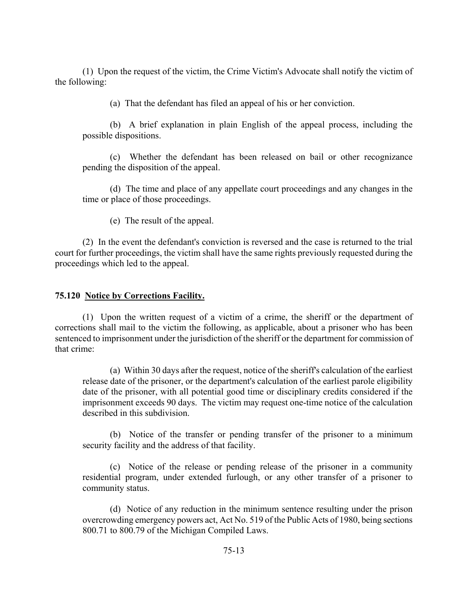(1) Upon the request of the victim, the Crime Victim's Advocate shall notify the victim of the following:

(a) That the defendant has filed an appeal of his or her conviction.

(b) A brief explanation in plain English of the appeal process, including the possible dispositions.

(c) Whether the defendant has been released on bail or other recognizance pending the disposition of the appeal.

(d) The time and place of any appellate court proceedings and any changes in the time or place of those proceedings.

(e) The result of the appeal.

(2) In the event the defendant's conviction is reversed and the case is returned to the trial court for further proceedings, the victim shall have the same rights previously requested during the proceedings which led to the appeal.

## **75.120 Notice by Corrections Facility.**

(1) Upon the written request of a victim of a crime, the sheriff or the department of corrections shall mail to the victim the following, as applicable, about a prisoner who has been sentenced to imprisonment under the jurisdiction of the sheriff or the department for commission of that crime:

(a) Within 30 days after the request, notice of the sheriff's calculation of the earliest release date of the prisoner, or the department's calculation of the earliest parole eligibility date of the prisoner, with all potential good time or disciplinary credits considered if the imprisonment exceeds 90 days. The victim may request one-time notice of the calculation described in this subdivision.

(b) Notice of the transfer or pending transfer of the prisoner to a minimum security facility and the address of that facility.

(c) Notice of the release or pending release of the prisoner in a community residential program, under extended furlough, or any other transfer of a prisoner to community status.

(d) Notice of any reduction in the minimum sentence resulting under the prison overcrowding emergency powers act, Act No. 519 of the Public Acts of 1980, being sections 800.71 to 800.79 of the Michigan Compiled Laws.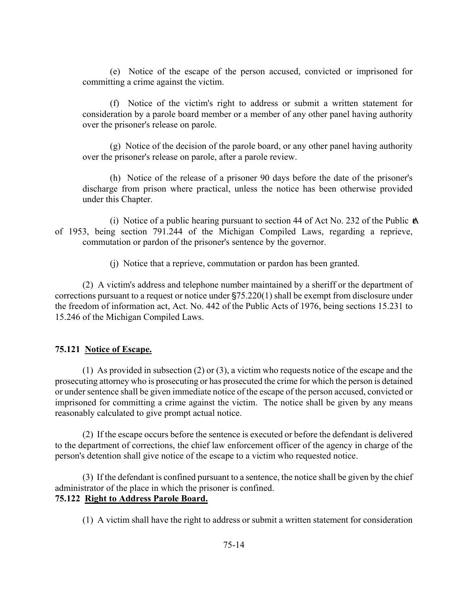(e) Notice of the escape of the person accused, convicted or imprisoned for committing a crime against the victim.

(f) Notice of the victim's right to address or submit a written statement for consideration by a parole board member or a member of any other panel having authority over the prisoner's release on parole.

(g) Notice of the decision of the parole board, or any other panel having authority over the prisoner's release on parole, after a parole review.

(h) Notice of the release of a prisoner 90 days before the date of the prisoner's discharge from prison where practical, unless the notice has been otherwise provided under this Chapter.

(i) Notice of a public hearing pursuant to section 44 of Act No. 232 of the Public  $\mathbf{\&}$ of 1953, being section 791.244 of the Michigan Compiled Laws, regarding a reprieve, commutation or pardon of the prisoner's sentence by the governor.

(j) Notice that a reprieve, commutation or pardon has been granted.

(2) A victim's address and telephone number maintained by a sheriff or the department of corrections pursuant to a request or notice under  $\S75.220(1)$  shall be exempt from disclosure under the freedom of information act, Act. No. 442 of the Public Acts of 1976, being sections 15.231 to 15.246 of the Michigan Compiled Laws.

# **75.121 Notice of Escape.**

(1) As provided in subsection (2) or (3), a victim who requests notice of the escape and the prosecuting attorney who is prosecuting or has prosecuted the crime for which the person is detained or under sentence shall be given immediate notice of the escape of the person accused, convicted or imprisoned for committing a crime against the victim. The notice shall be given by any means reasonably calculated to give prompt actual notice.

(2) If the escape occurs before the sentence is executed or before the defendant is delivered to the department of corrections, the chief law enforcement officer of the agency in charge of the person's detention shall give notice of the escape to a victim who requested notice.

(3) If the defendant is confined pursuant to a sentence, the notice shall be given by the chief administrator of the place in which the prisoner is confined. **75.122 Right to Address Parole Board.**

(1) A victim shall have the right to address or submit a written statement for consideration